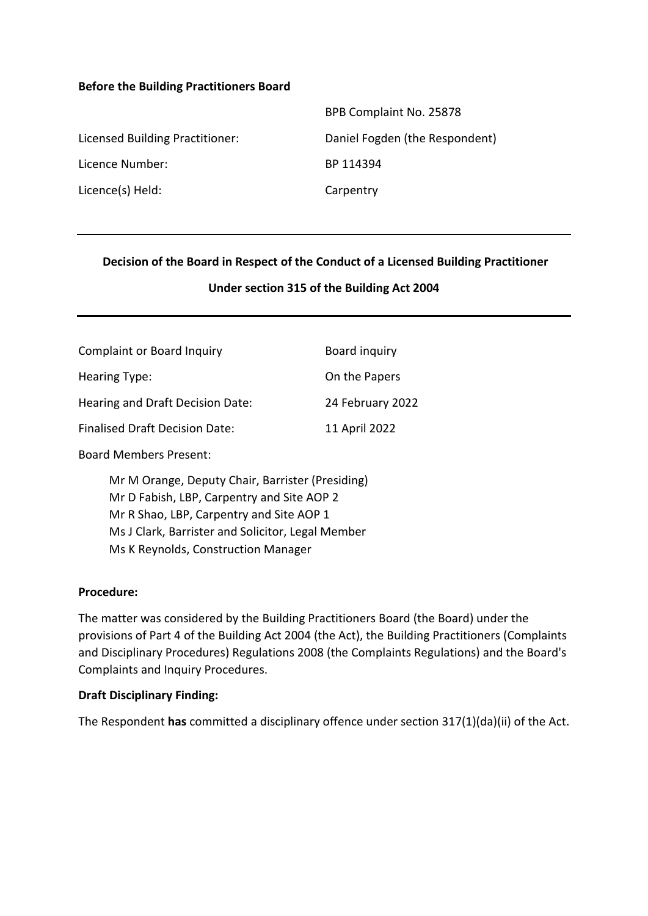#### **Before the Building Practitioners Board**

|                                 | BPB Complaint No. 25878        |
|---------------------------------|--------------------------------|
| Licensed Building Practitioner: | Daniel Fogden (the Respondent) |
| Licence Number:                 | BP 114394                      |
| Licence(s) Held:                | Carpentry                      |

#### **Decision of the Board in Respect of the Conduct of a Licensed Building Practitioner**

#### **Under section 315 of the Building Act 2004**

| <b>Complaint or Board Inquiry</b>     | Board inquiry    |
|---------------------------------------|------------------|
| Hearing Type:                         | On the Papers    |
| Hearing and Draft Decision Date:      | 24 February 2022 |
| <b>Finalised Draft Decision Date:</b> | 11 April 2022    |

Board Members Present:

Mr M Orange, Deputy Chair, Barrister (Presiding) Mr D Fabish, LBP, Carpentry and Site AOP 2 Mr R Shao, LBP, Carpentry and Site AOP 1 Ms J Clark, Barrister and Solicitor, Legal Member Ms K Reynolds, Construction Manager

#### **Procedure:**

The matter was considered by the Building Practitioners Board (the Board) under the provisions of Part 4 of the Building Act 2004 (the Act), the Building Practitioners (Complaints and Disciplinary Procedures) Regulations 2008 (the Complaints Regulations) and the Board's Complaints and Inquiry Procedures.

#### **Draft Disciplinary Finding:**

The Respondent **has** committed a disciplinary offence under section 317(1)(da)(ii) of the Act.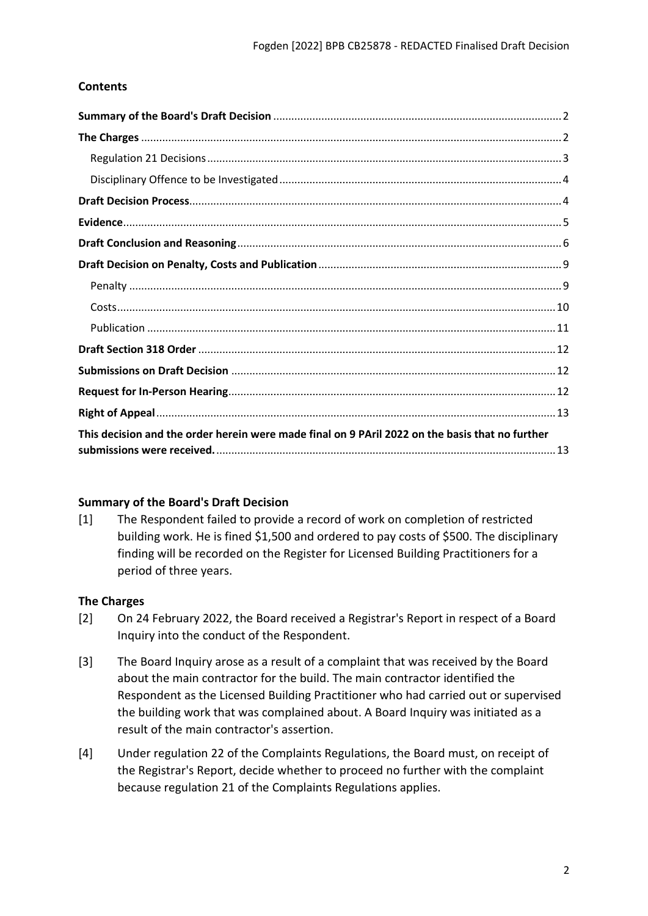# **Contents**

| This decision and the order herein were made final on 9 PAril 2022 on the basis that no further |  |
|-------------------------------------------------------------------------------------------------|--|

#### <span id="page-1-0"></span>**Summary of the Board's Draft Decision**

[1] The Respondent failed to provide a record of work on completion of restricted building work. He is fined \$1,500 and ordered to pay costs of \$500. The disciplinary finding will be recorded on the Register for Licensed Building Practitioners for a period of three years.

#### <span id="page-1-1"></span>**The Charges**

- [2] On 24 February 2022, the Board received a Registrar's Report in respect of a Board Inquiry into the conduct of the Respondent.
- [3] The Board Inquiry arose as a result of a complaint that was received by the Board about the main contractor for the build. The main contractor identified the Respondent as the Licensed Building Practitioner who had carried out or supervised the building work that was complained about. A Board Inquiry was initiated as a result of the main contractor's assertion.
- [4] Under regulation 22 of the Complaints Regulations, the Board must, on receipt of the Registrar's Report, decide whether to proceed no further with the complaint because regulation 21 of the Complaints Regulations applies.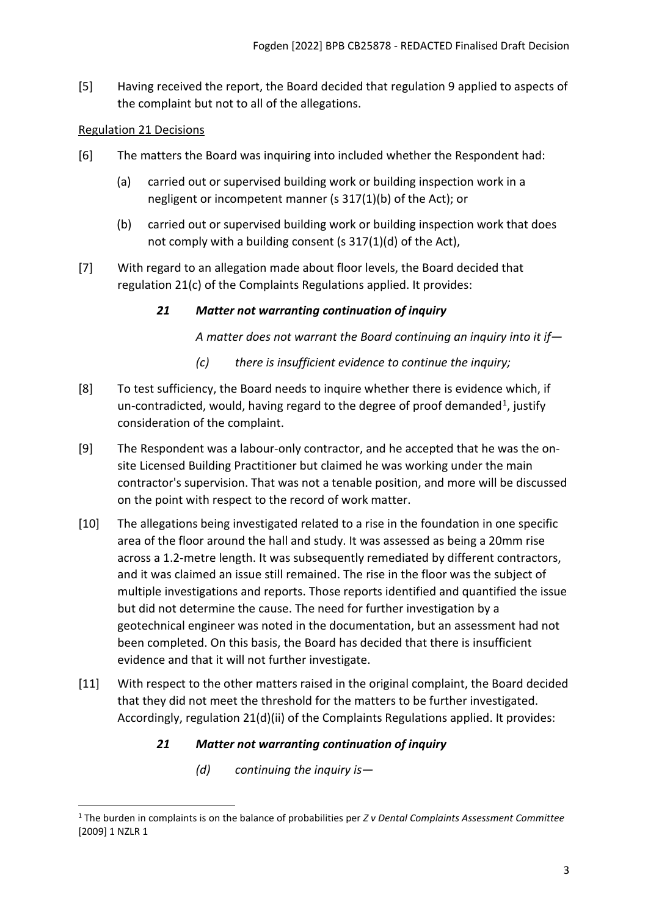[5] Having received the report, the Board decided that regulation 9 applied to aspects of the complaint but not to all of the allegations.

# <span id="page-2-0"></span>Regulation 21 Decisions

- [6] The matters the Board was inquiring into included whether the Respondent had:
	- (a) carried out or supervised building work or building inspection work in a negligent or incompetent manner (s 317(1)(b) of the Act); or
	- (b) carried out or supervised building work or building inspection work that does not comply with a building consent (s 317(1)(d) of the Act),
- [7] With regard to an allegation made about floor levels, the Board decided that regulation 21(c) of the Complaints Regulations applied. It provides:

## *21 Matter not warranting continuation of inquiry*

*A matter does not warrant the Board continuing an inquiry into it if—* 

- *(c) there is insufficient evidence to continue the inquiry;*
- [8] To test sufficiency, the Board needs to inquire whether there is evidence which, if un-contradicted, would, having regard to the degree of proof demanded<sup>1</sup>, justify consideration of the complaint.
- [9] The Respondent was a labour-only contractor, and he accepted that he was the onsite Licensed Building Practitioner but claimed he was working under the main contractor's supervision. That was not a tenable position, and more will be discussed on the point with respect to the record of work matter.
- [10] The allegations being investigated related to a rise in the foundation in one specific area of the floor around the hall and study. It was assessed as being a 20mm rise across a 1.2-metre length. It was subsequently remediated by different contractors, and it was claimed an issue still remained. The rise in the floor was the subject of multiple investigations and reports. Those reports identified and quantified the issue but did not determine the cause. The need for further investigation by a geotechnical engineer was noted in the documentation, but an assessment had not been completed. On this basis, the Board has decided that there is insufficient evidence and that it will not further investigate.
- [11] With respect to the other matters raised in the original complaint, the Board decided that they did not meet the threshold for the matters to be further investigated. Accordingly, regulation 21(d)(ii) of the Complaints Regulations applied. It provides:

# *21 Matter not warranting continuation of inquiry*

*(d) continuing the inquiry is—*

<span id="page-2-1"></span><sup>1</sup> The burden in complaints is on the balance of probabilities per *Z v Dental Complaints Assessment Committee* [2009] 1 NZLR 1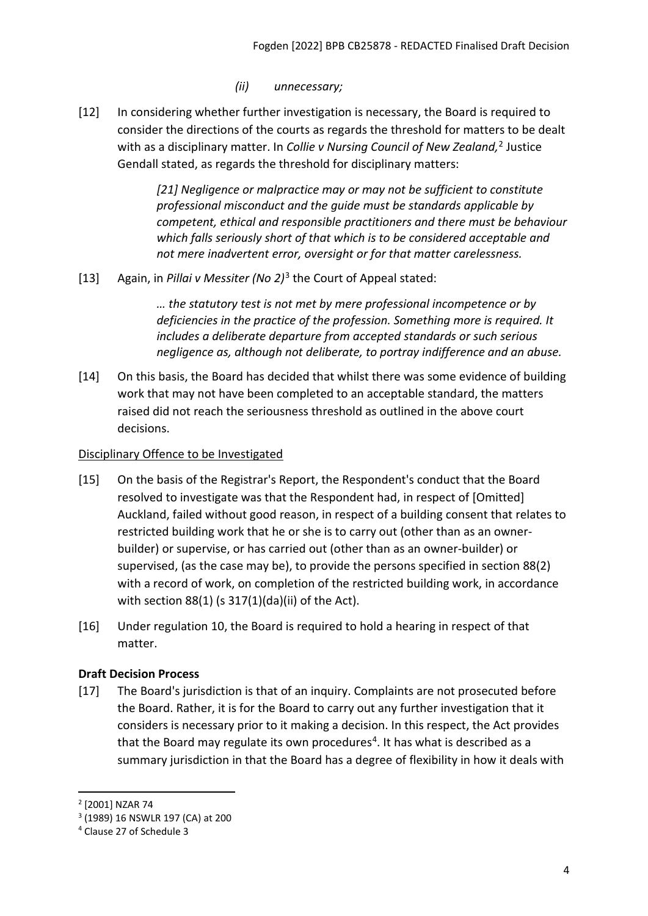# *(ii) unnecessary;*

[12] In considering whether further investigation is necessary, the Board is required to consider the directions of the courts as regards the threshold for matters to be dealt with as a disciplinary matter. In *Collie v Nursing Council of New Zealand,*[2](#page-3-2) Justice Gendall stated, as regards the threshold for disciplinary matters:

> *[21] Negligence or malpractice may or may not be sufficient to constitute professional misconduct and the guide must be standards applicable by competent, ethical and responsible practitioners and there must be behaviour which falls seriously short of that which is to be considered acceptable and not mere inadvertent error, oversight or for that matter carelessness.*

[13] Again, in *Pillai v Messiter (No 2)*[3](#page-3-3) the Court of Appeal stated:

*… the statutory test is not met by mere professional incompetence or by deficiencies in the practice of the profession. Something more is required. It includes a deliberate departure from accepted standards or such serious negligence as, although not deliberate, to portray indifference and an abuse.*

[14] On this basis, the Board has decided that whilst there was some evidence of building work that may not have been completed to an acceptable standard, the matters raised did not reach the seriousness threshold as outlined in the above court decisions.

### <span id="page-3-0"></span>Disciplinary Offence to be Investigated

- [15] On the basis of the Registrar's Report, the Respondent's conduct that the Board resolved to investigate was that the Respondent had, in respect of [Omitted] Auckland, failed without good reason, in respect of a building consent that relates to restricted building work that he or she is to carry out (other than as an ownerbuilder) or supervise, or has carried out (other than as an owner-builder) or supervised, (as the case may be), to provide the persons specified in section 88(2) with a record of work, on completion of the restricted building work, in accordance with section 88(1) (s 317(1)(da)(ii) of the Act).
- [16] Under regulation 10, the Board is required to hold a hearing in respect of that matter.

# <span id="page-3-1"></span>**Draft Decision Process**

[17] The Board's jurisdiction is that of an inquiry. Complaints are not prosecuted before the Board. Rather, it is for the Board to carry out any further investigation that it considers is necessary prior to it making a decision. In this respect, the Act provides that the Board may regulate its own procedures<sup>[4](#page-3-4)</sup>. It has what is described as a summary jurisdiction in that the Board has a degree of flexibility in how it deals with

<span id="page-3-2"></span><sup>2</sup> [2001] NZAR 74

<span id="page-3-3"></span><sup>3</sup> (1989) 16 NSWLR 197 (CA) at 200

<span id="page-3-4"></span><sup>4</sup> Clause 27 of Schedule 3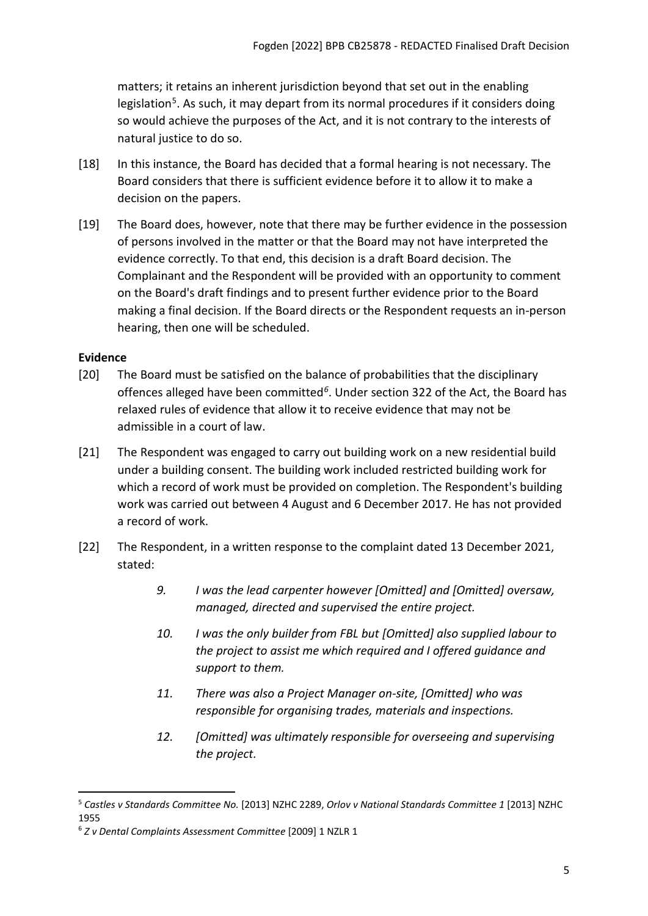matters; it retains an inherent jurisdiction beyond that set out in the enabling legislation<sup>[5](#page-4-1)</sup>. As such, it may depart from its normal procedures if it considers doing so would achieve the purposes of the Act, and it is not contrary to the interests of natural justice to do so.

- [18] In this instance, the Board has decided that a formal hearing is not necessary. The Board considers that there is sufficient evidence before it to allow it to make a decision on the papers.
- [19] The Board does, however, note that there may be further evidence in the possession of persons involved in the matter or that the Board may not have interpreted the evidence correctly. To that end, this decision is a draft Board decision. The Complainant and the Respondent will be provided with an opportunity to comment on the Board's draft findings and to present further evidence prior to the Board making a final decision. If the Board directs or the Respondent requests an in-person hearing, then one will be scheduled.

## <span id="page-4-0"></span>**Evidence**

- [20] The Board must be satisfied on the balance of probabilities that the disciplinary offences alleged have been committed*[6](#page-4-2)*. Under section 322 of the Act, the Board has relaxed rules of evidence that allow it to receive evidence that may not be admissible in a court of law.
- [21] The Respondent was engaged to carry out building work on a new residential build under a building consent. The building work included restricted building work for which a record of work must be provided on completion. The Respondent's building work was carried out between 4 August and 6 December 2017. He has not provided a record of work.
- [22] The Respondent, in a written response to the complaint dated 13 December 2021, stated:
	- *9. I was the lead carpenter however [Omitted] and [Omitted] oversaw, managed, directed and supervised the entire project.*
	- *10. I was the only builder from FBL but [Omitted] also supplied labour to the project to assist me which required and I offered guidance and support to them.*
	- *11. There was also a Project Manager on-site, [Omitted] who was responsible for organising trades, materials and inspections.*
	- *12. [Omitted] was ultimately responsible for overseeing and supervising the project.*

<span id="page-4-1"></span><sup>5</sup> *Castles v Standards Committee No.* [2013] NZHC 2289, *Orlov v National Standards Committee 1* [2013] NZHC 1955

<span id="page-4-2"></span><sup>6</sup> *Z v Dental Complaints Assessment Committee* [2009] 1 NZLR 1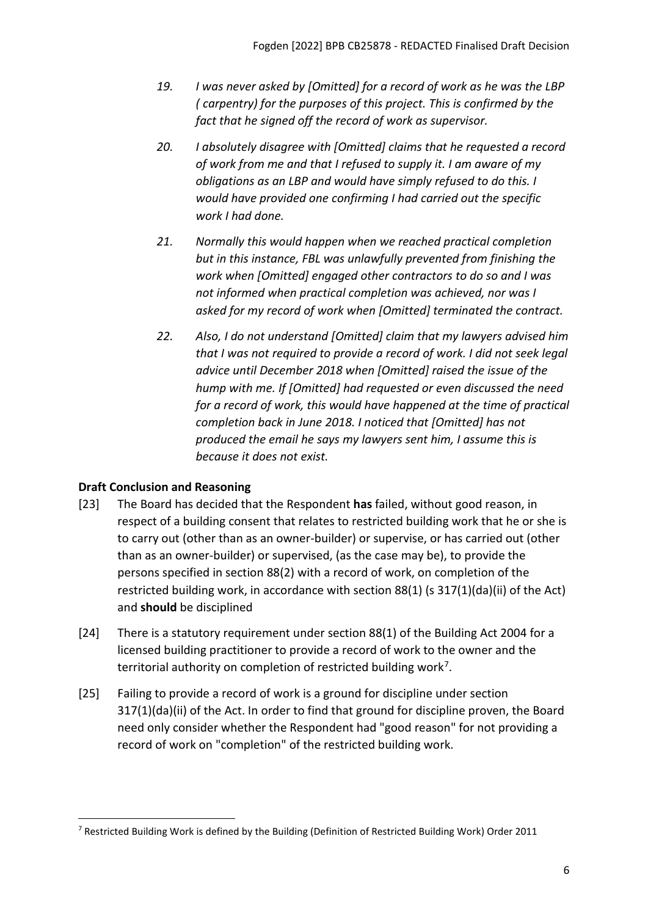- *19. I was never asked by [Omitted] for a record of work as he was the LBP ( carpentry) for the purposes of this project. This is confirmed by the fact that he signed off the record of work as supervisor.*
- *20. I absolutely disagree with [Omitted] claims that he requested a record of work from me and that I refused to supply it. I am aware of my obligations as an LBP and would have simply refused to do this. I would have provided one confirming I had carried out the specific work I had done.*
- *21. Normally this would happen when we reached practical completion but in this instance, FBL was unlawfully prevented from finishing the work when [Omitted] engaged other contractors to do so and I was not informed when practical completion was achieved, nor was I asked for my record of work when [Omitted] terminated the contract.*
- *22. Also, I do not understand [Omitted] claim that my lawyers advised him that I was not required to provide a record of work. I did not seek legal advice until December 2018 when [Omitted] raised the issue of the hump with me. If [Omitted] had requested or even discussed the need for a record of work, this would have happened at the time of practical completion back in June 2018. I noticed that [Omitted] has not produced the email he says my lawyers sent him, I assume this is because it does not exist.*

# <span id="page-5-0"></span>**Draft Conclusion and Reasoning**

- [23] The Board has decided that the Respondent **has** failed, without good reason, in respect of a building consent that relates to restricted building work that he or she is to carry out (other than as an owner-builder) or supervise, or has carried out (other than as an owner-builder) or supervised, (as the case may be), to provide the persons specified in section 88(2) with a record of work, on completion of the restricted building work, in accordance with section 88(1) (s 317(1)(da)(ii) of the Act) and **should** be disciplined
- [24] There is a statutory requirement under section 88(1) of the Building Act 2004 for a licensed building practitioner to provide a record of work to the owner and the territorial authority on completion of restricted building work[7](#page-5-1).
- [25] Failing to provide a record of work is a ground for discipline under section 317(1)(da)(ii) of the Act. In order to find that ground for discipline proven, the Board need only consider whether the Respondent had "good reason" for not providing a record of work on "completion" of the restricted building work.

<span id="page-5-1"></span><sup>7</sup> Restricted Building Work is defined by the Building (Definition of Restricted Building Work) Order 2011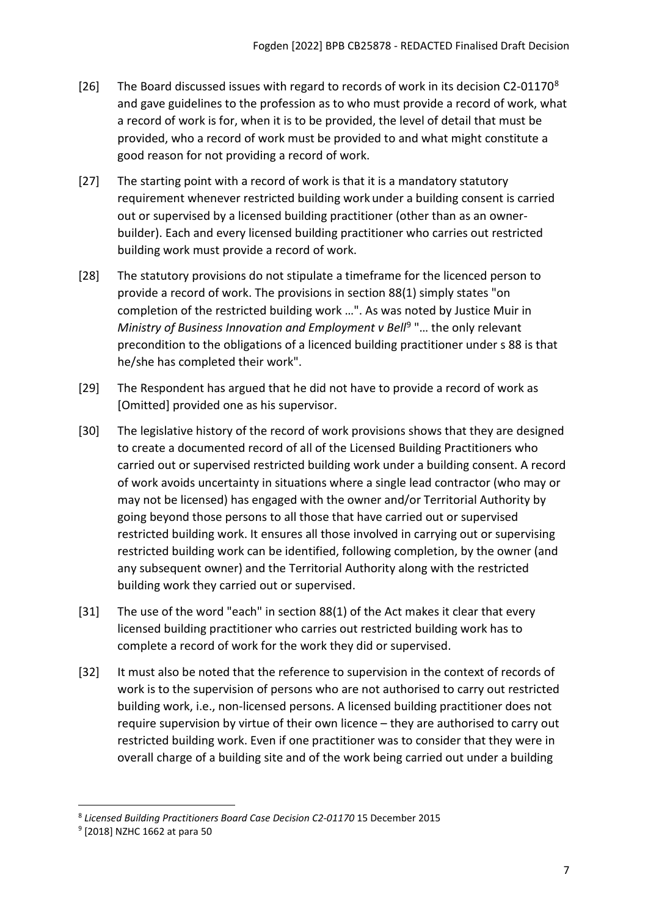- [26] The Board discussed issues with regard to records of work in its decision C2-01170<sup>[8](#page-6-0)</sup> and gave guidelines to the profession as to who must provide a record of work, what a record of work is for, when it is to be provided, the level of detail that must be provided, who a record of work must be provided to and what might constitute a good reason for not providing a record of work.
- [27] The starting point with a record of work is that it is a mandatory statutory requirement whenever restricted building work under a building consent is carried out or supervised by a licensed building practitioner (other than as an ownerbuilder). Each and every licensed building practitioner who carries out restricted building work must provide a record of work.
- [28] The statutory provisions do not stipulate a timeframe for the licenced person to provide a record of work. The provisions in section 88(1) simply states "on completion of the restricted building work …". As was noted by Justice Muir in *Ministry of Business Innovation and Employment v Bell<sup>9</sup> "... the only relevant* precondition to the obligations of a licenced building practitioner under s 88 is that he/she has completed their work".
- [29] The Respondent has argued that he did not have to provide a record of work as [Omitted] provided one as his supervisor.
- [30] The legislative history of the record of work provisions shows that they are designed to create a documented record of all of the Licensed Building Practitioners who carried out or supervised restricted building work under a building consent. A record of work avoids uncertainty in situations where a single lead contractor (who may or may not be licensed) has engaged with the owner and/or Territorial Authority by going beyond those persons to all those that have carried out or supervised restricted building work. It ensures all those involved in carrying out or supervising restricted building work can be identified, following completion, by the owner (and any subsequent owner) and the Territorial Authority along with the restricted building work they carried out or supervised.
- [31] The use of the word "each" in section 88(1) of the Act makes it clear that every licensed building practitioner who carries out restricted building work has to complete a record of work for the work they did or supervised.
- [32] It must also be noted that the reference to supervision in the context of records of work is to the supervision of persons who are not authorised to carry out restricted building work, i.e., non-licensed persons. A licensed building practitioner does not require supervision by virtue of their own licence – they are authorised to carry out restricted building work. Even if one practitioner was to consider that they were in overall charge of a building site and of the work being carried out under a building

<span id="page-6-0"></span><sup>8</sup> *Licensed Building Practitioners Board Case Decision C2-01170* 15 December 2015

<span id="page-6-1"></span><sup>9</sup> [2018] NZHC 1662 at para 50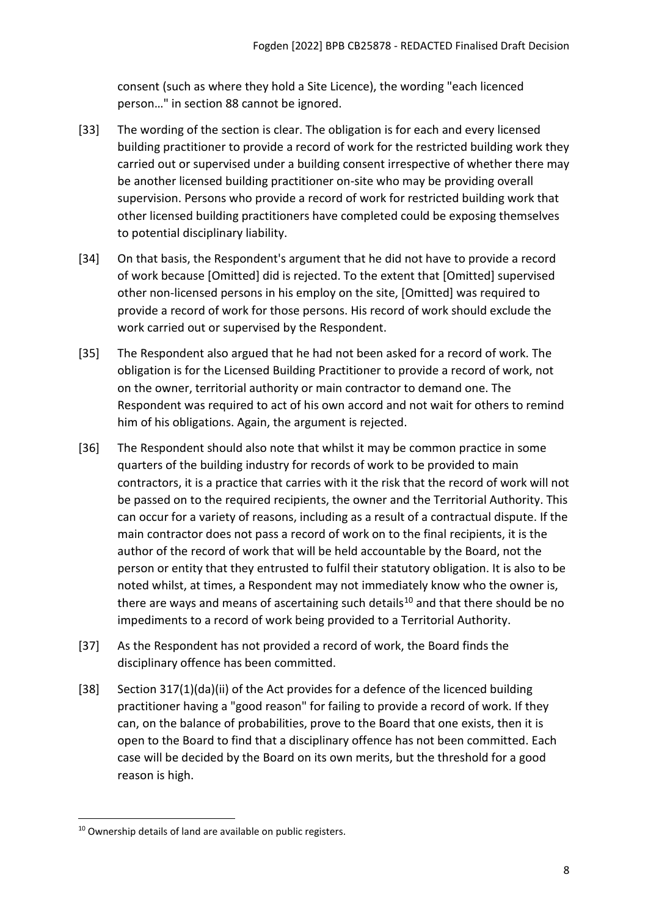consent (such as where they hold a Site Licence), the wording "each licenced person…" in section 88 cannot be ignored.

- [33] The wording of the section is clear. The obligation is for each and every licensed building practitioner to provide a record of work for the restricted building work they carried out or supervised under a building consent irrespective of whether there may be another licensed building practitioner on-site who may be providing overall supervision. Persons who provide a record of work for restricted building work that other licensed building practitioners have completed could be exposing themselves to potential disciplinary liability.
- [34] On that basis, the Respondent's argument that he did not have to provide a record of work because [Omitted] did is rejected. To the extent that [Omitted] supervised other non-licensed persons in his employ on the site, [Omitted] was required to provide a record of work for those persons. His record of work should exclude the work carried out or supervised by the Respondent.
- [35] The Respondent also argued that he had not been asked for a record of work. The obligation is for the Licensed Building Practitioner to provide a record of work, not on the owner, territorial authority or main contractor to demand one. The Respondent was required to act of his own accord and not wait for others to remind him of his obligations. Again, the argument is rejected.
- [36] The Respondent should also note that whilst it may be common practice in some quarters of the building industry for records of work to be provided to main contractors, it is a practice that carries with it the risk that the record of work will not be passed on to the required recipients, the owner and the Territorial Authority. This can occur for a variety of reasons, including as a result of a contractual dispute. If the main contractor does not pass a record of work on to the final recipients, it is the author of the record of work that will be held accountable by the Board, not the person or entity that they entrusted to fulfil their statutory obligation. It is also to be noted whilst, at times, a Respondent may not immediately know who the owner is, there are ways and means of ascertaining such details<sup>[10](#page-7-0)</sup> and that there should be no impediments to a record of work being provided to a Territorial Authority.
- [37] As the Respondent has not provided a record of work, the Board finds the disciplinary offence has been committed.
- [38] Section 317(1)(da)(ii) of the Act provides for a defence of the licenced building practitioner having a "good reason" for failing to provide a record of work. If they can, on the balance of probabilities, prove to the Board that one exists, then it is open to the Board to find that a disciplinary offence has not been committed. Each case will be decided by the Board on its own merits, but the threshold for a good reason is high.

<span id="page-7-0"></span><sup>10</sup> Ownership details of land are available on public registers.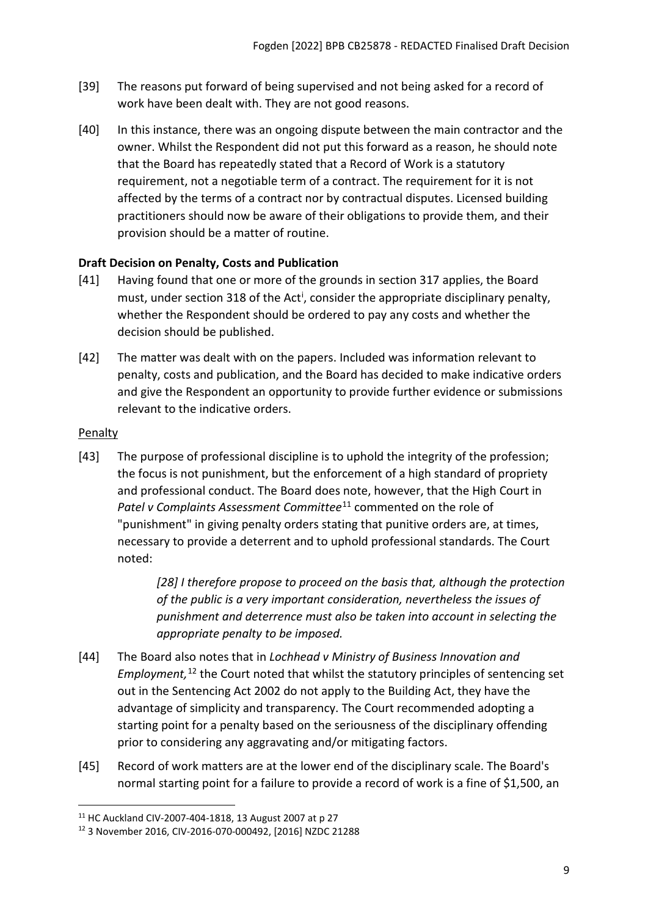- [39] The reasons put forward of being supervised and not being asked for a record of work have been dealt with. They are not good reasons.
- [40] In this instance, there was an ongoing dispute between the main contractor and the owner. Whilst the Respondent did not put this forward as a reason, he should note that the Board has repeatedly stated that a Record of Work is a statutory requirement, not a negotiable term of a contract. The requirement for it is not affected by the terms of a contract nor by contractual disputes. Licensed building practitioners should now be aware of their obligations to provide them, and their provision should be a matter of routine.

## <span id="page-8-0"></span>**Draft Decision on Penalty, Costs and Publication**

- [41] Having found that one or more of the grounds in section 317 applies, the Board must, under sect[i](#page-13-0)on 318 of the Act<sup>i</sup>, consider the appropriate disciplinary penalty, whether the Respondent should be ordered to pay any costs and whether the decision should be published.
- [42] The matter was dealt with on the papers. Included was information relevant to penalty, costs and publication, and the Board has decided to make indicative orders and give the Respondent an opportunity to provide further evidence or submissions relevant to the indicative orders.

## <span id="page-8-1"></span>**Penalty**

[43] The purpose of professional discipline is to uphold the integrity of the profession; the focus is not punishment, but the enforcement of a high standard of propriety and professional conduct. The Board does note, however, that the High Court in *Patel v Complaints Assessment Committee*[11](#page-8-2) commented on the role of "punishment" in giving penalty orders stating that punitive orders are, at times, necessary to provide a deterrent and to uphold professional standards. The Court noted:

> *[28] I therefore propose to proceed on the basis that, although the protection of the public is a very important consideration, nevertheless the issues of punishment and deterrence must also be taken into account in selecting the appropriate penalty to be imposed.*

- [44] The Board also notes that in *Lochhead v Ministry of Business Innovation and Employment,* [12](#page-8-3) the Court noted that whilst the statutory principles of sentencing set out in the Sentencing Act 2002 do not apply to the Building Act, they have the advantage of simplicity and transparency. The Court recommended adopting a starting point for a penalty based on the seriousness of the disciplinary offending prior to considering any aggravating and/or mitigating factors.
- [45] Record of work matters are at the lower end of the disciplinary scale. The Board's normal starting point for a failure to provide a record of work is a fine of \$1,500, an

<span id="page-8-2"></span><sup>11</sup> HC Auckland CIV-2007-404-1818, 13 August 2007 at p 27

<span id="page-8-3"></span><sup>12</sup> 3 November 2016, CIV-2016-070-000492, [2016] NZDC 21288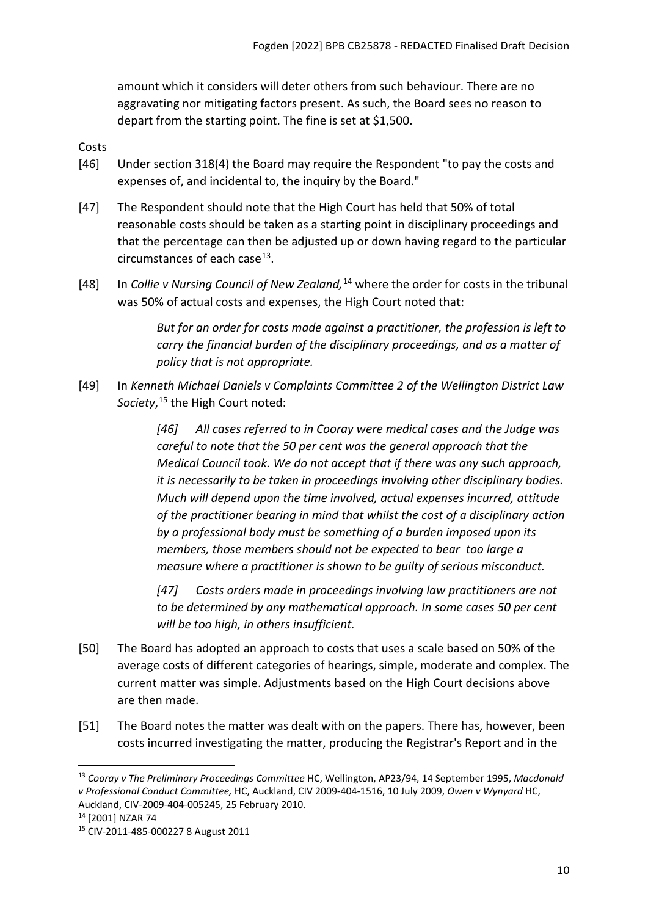amount which it considers will deter others from such behaviour. There are no aggravating nor mitigating factors present. As such, the Board sees no reason to depart from the starting point. The fine is set at \$1,500.

## <span id="page-9-0"></span>**Costs**

- [46] Under section 318(4) the Board may require the Respondent "to pay the costs and expenses of, and incidental to, the inquiry by the Board."
- [47] The Respondent should note that the High Court has held that 50% of total reasonable costs should be taken as a starting point in disciplinary proceedings and that the percentage can then be adjusted up or down having regard to the particular circumstances of each case  $13$ .
- [48] In *Collie v Nursing Council of New Zealand,*[14](#page-9-2) where the order for costs in the tribunal was 50% of actual costs and expenses, the High Court noted that:

*But for an order for costs made against a practitioner, the profession is left to carry the financial burden of the disciplinary proceedings, and as a matter of policy that is not appropriate.*

[49] In *Kenneth Michael Daniels v Complaints Committee 2 of the Wellington District Law Society*, [15](#page-9-3) the High Court noted:

> *[46] All cases referred to in Cooray were medical cases and the Judge was careful to note that the 50 per cent was the general approach that the Medical Council took. We do not accept that if there was any such approach, it is necessarily to be taken in proceedings involving other disciplinary bodies. Much will depend upon the time involved, actual expenses incurred, attitude of the practitioner bearing in mind that whilst the cost of a disciplinary action by a professional body must be something of a burden imposed upon its members, those members should not be expected to bear too large a measure where a practitioner is shown to be guilty of serious misconduct.*

*[47] Costs orders made in proceedings involving law practitioners are not to be determined by any mathematical approach. In some cases 50 per cent will be too high, in others insufficient.*

- [50] The Board has adopted an approach to costs that uses a scale based on 50% of the average costs of different categories of hearings, simple, moderate and complex. The current matter was simple. Adjustments based on the High Court decisions above are then made.
- [51] The Board notes the matter was dealt with on the papers. There has, however, been costs incurred investigating the matter, producing the Registrar's Report and in the

<span id="page-9-1"></span><sup>13</sup> *Cooray v The Preliminary Proceedings Committee* HC, Wellington, AP23/94, 14 September 1995, *Macdonald v Professional Conduct Committee,* HC, Auckland, CIV 2009-404-1516, 10 July 2009, *Owen v Wynyard* HC, Auckland, CIV-2009-404-005245, 25 February 2010. 14 [2001] NZAR 74

<span id="page-9-2"></span>

<span id="page-9-3"></span><sup>15</sup> CIV-2011-485-000227 8 August 2011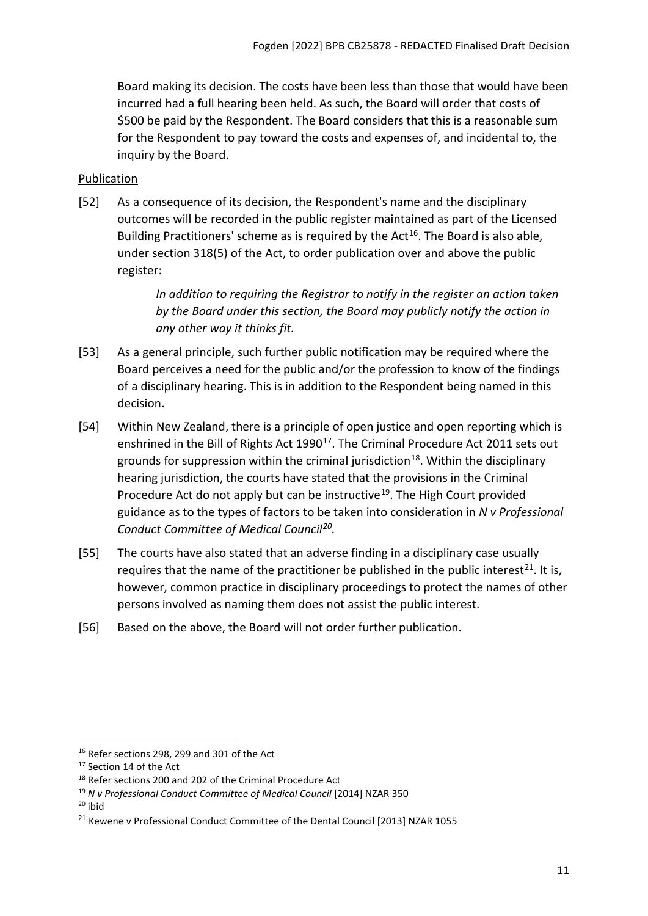Board making its decision. The costs have been less than those that would have been incurred had a full hearing been held. As such, the Board will order that costs of \$500 be paid by the Respondent. The Board considers that this is a reasonable sum for the Respondent to pay toward the costs and expenses of, and incidental to, the inquiry by the Board.

# <span id="page-10-0"></span>Publication

[52] As a consequence of its decision, the Respondent's name and the disciplinary outcomes will be recorded in the public register maintained as part of the Licensed Building Practitioners' scheme as is required by the Act<sup>[16](#page-10-1)</sup>. The Board is also able, under section 318(5) of the Act, to order publication over and above the public register:

> *In addition to requiring the Registrar to notify in the register an action taken by the Board under this section, the Board may publicly notify the action in any other way it thinks fit.*

- [53] As a general principle, such further public notification may be required where the Board perceives a need for the public and/or the profession to know of the findings of a disciplinary hearing. This is in addition to the Respondent being named in this decision.
- [54] Within New Zealand, there is a principle of open justice and open reporting which is enshrined in the Bill of Rights Act 1990<sup>17</sup>. The Criminal Procedure Act 2011 sets out grounds for suppression within the criminal jurisdiction<sup>18</sup>. Within the disciplinary hearing jurisdiction, the courts have stated that the provisions in the Criminal Procedure Act do not apply but can be instructive<sup>[19](#page-10-4)</sup>. The High Court provided guidance as to the types of factors to be taken into consideration in *N v Professional Conduct Committee of Medical Council[20](#page-10-5).*
- [55] The courts have also stated that an adverse finding in a disciplinary case usually requires that the name of the practitioner be published in the public interest<sup>[21](#page-10-6)</sup>. It is, however, common practice in disciplinary proceedings to protect the names of other persons involved as naming them does not assist the public interest.
- [56] Based on the above, the Board will not order further publication.

<span id="page-10-5"></span> $20$  ibid

<span id="page-10-1"></span> $16$  Refer sections 298, 299 and 301 of the Act

<span id="page-10-2"></span><sup>&</sup>lt;sup>17</sup> Section 14 of the Act

<span id="page-10-3"></span><sup>&</sup>lt;sup>18</sup> Refer sections 200 and 202 of the Criminal Procedure Act

<span id="page-10-4"></span><sup>19</sup> *N v Professional Conduct Committee of Medical Council* [2014] NZAR 350

<span id="page-10-6"></span><sup>&</sup>lt;sup>21</sup> Kewene v Professional Conduct Committee of the Dental Council [2013] NZAR 1055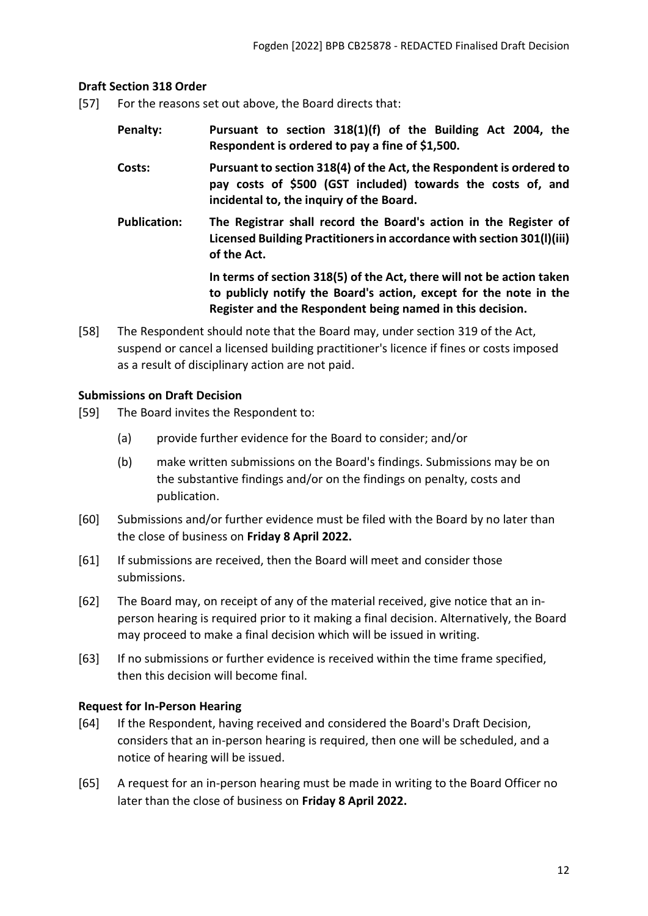#### <span id="page-11-0"></span>**Draft Section 318 Order**

- [57] For the reasons set out above, the Board directs that:
	- **Penalty: Pursuant to section 318(1)(f) of the Building Act 2004, the Respondent is ordered to pay a fine of \$1,500.**
	- **Costs: Pursuant to section 318(4) of the Act, the Respondent is ordered to pay costs of \$500 (GST included) towards the costs of, and incidental to, the inquiry of the Board.**
	- **Publication: The Registrar shall record the Board's action in the Register of Licensed Building Practitioners in accordance with section 301(l)(iii) of the Act.**

**In terms of section 318(5) of the Act, there will not be action taken to publicly notify the Board's action, except for the note in the Register and the Respondent being named in this decision.**

[58] The Respondent should note that the Board may, under section 319 of the Act, suspend or cancel a licensed building practitioner's licence if fines or costs imposed as a result of disciplinary action are not paid.

#### <span id="page-11-1"></span>**Submissions on Draft Decision**

- [59] The Board invites the Respondent to:
	- (a) provide further evidence for the Board to consider; and/or
	- (b) make written submissions on the Board's findings. Submissions may be on the substantive findings and/or on the findings on penalty, costs and publication.
- [60] Submissions and/or further evidence must be filed with the Board by no later than the close of business on **Friday 8 April 2022.**
- [61] If submissions are received, then the Board will meet and consider those submissions.
- [62] The Board may, on receipt of any of the material received, give notice that an inperson hearing is required prior to it making a final decision. Alternatively, the Board may proceed to make a final decision which will be issued in writing.
- [63] If no submissions or further evidence is received within the time frame specified, then this decision will become final.

#### <span id="page-11-2"></span>**Request for In-Person Hearing**

- [64] If the Respondent, having received and considered the Board's Draft Decision, considers that an in-person hearing is required, then one will be scheduled, and a notice of hearing will be issued.
- [65] A request for an in-person hearing must be made in writing to the Board Officer no later than the close of business on **Friday 8 April 2022.**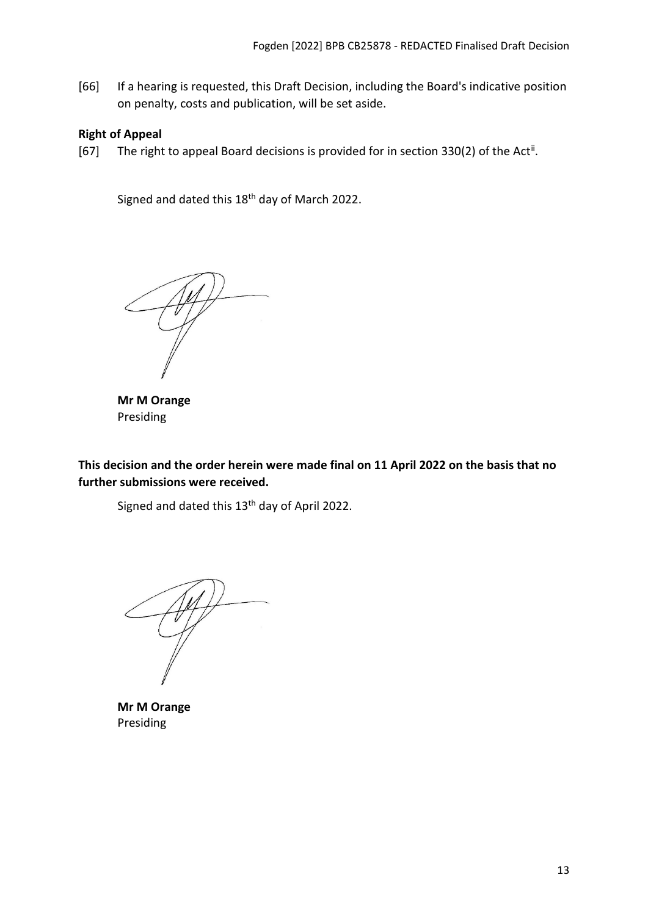[66] If a hearing is requested, this Draft Decision, including the Board's indicative position on penalty, costs and publication, will be set aside.

## <span id="page-12-0"></span>**Right of Appeal**

[67] The right to appeal Board decisions is provided for in section 330(2) of the Act<sup>[ii](#page-13-1)</sup>.

Signed and dated this 18<sup>th</sup> day of March 2022.

**Mr M Orange** Presiding

<span id="page-12-1"></span>**This decision and the order herein were made final on 11 April 2022 on the basis that no further submissions were received.**

Signed and dated this 13<sup>th</sup> day of April 2022.

**Mr M Orange** Presiding